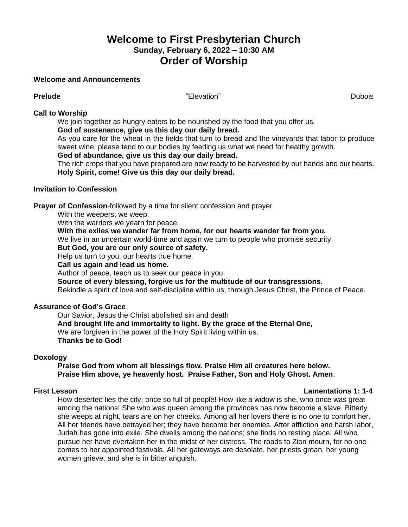# **Welcome to First Presbyterian Church Sunday, February 6, 2022 – 10:30 AM Order of Worship**

#### **Welcome and Announcements**

**Prelude** Dubois **CONFINGUARY CONTROLLER CONTROLLER CONTROLLER CONTROLLER CONTROLLER CONTROLLER CONTROLLER CONTROLLER CONTROLLER CONTROLLER CONTROLLER CONTROLLER CONTROLLER CONTROLLER CONTROLLER CONTROLLER CONTROLLER CONTR** 

### **Call to Worship**

We join together as hungry eaters to be nourished by the food that you offer us.

### **God of sustenance, give us this day our daily bread.**

As you care for the wheat in the fields that turn to bread and the vineyards that labor to produce sweet wine, please tend to our bodies by feeding us what we need for healthy growth.

### **God of abundance, give us this day our daily bread.**

The rich crops that you have prepared are now ready to be harvested by our hands and our hearts. **Holy Spirit, come! Give us this day our daily bread.**

### **Invitation to Confession**

**Prayer of Confession**-followed by a time for silent confession and prayer

With the weepers, we weep.

With the warriors we yearn for peace.

## **With the exiles we wander far from home, for our hearts wander far from you.**

We live in an uncertain world-time and again we turn to people who promise security.

### **But God, you are our only source of safety.**

Help us turn to you, our hearts true home.

**Call us again and lead us home.**

Author of peace, teach us to seek our peace in you.

**Source of every blessing, forgive us for the multitude of our transgressions.**

Rekindle a spirit of love and self-discipline within us, through Jesus Christ, the Prince of Peace.

### **Assurance of God's Grace**

Our Savior, Jesus the Christ abolished sin and death **And brought life and immortality to light. By the grace of the Eternal One,** We are forgiven in the power of the Holy Spirit living within us. **Thanks be to God!**

### **Doxology**

**Praise God from whom all blessings flow. Praise Him all creatures here below. Praise Him above, ye heavenly host. Praise Father, Son and Holy Ghost. Amen**.

### **First Lesson Lamentations 1: 1-4**

How deserted lies the city, once so full of people! How like a widow is she, who once was great among the nations! She who was queen among the provinces has now become a slave. Bitterly she weeps at night, tears are on her cheeks. Among all her lovers there is no one to comfort her. All her friends have betrayed her; they have become her enemies. After affliction and harsh labor, Judah has gone into exile. She dwells among the nations; she finds no resting place. All who pursue her have overtaken her in the midst of her distress. The roads to Zion mourn, for no one comes to her appointed festivals. All her gateways are desolate, her priests groan, her young women grieve, and she is in bitter anguish.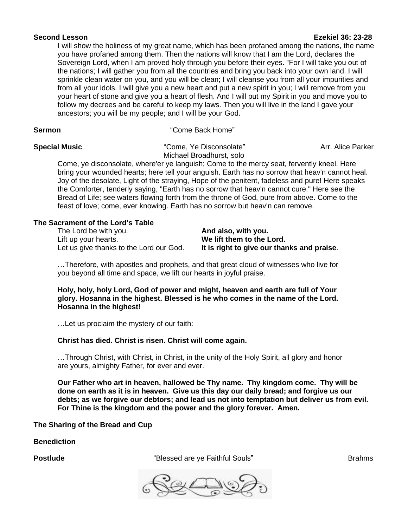#### **Second Lesson Ezekiel 36: 23-28**

I will show the holiness of my great name, which has been profaned among the nations, the name you have profaned among them. Then the nations will know that I am the Lord, declares the Sovereign Lord, when I am proved holy through you before their eyes. "For I will take you out of the nations; I will gather you from all the countries and bring you back into your own land. I will sprinkle clean water on you, and you will be clean; I will cleanse you from all your impurities and from all your idols. I will give you a new heart and put a new spirit in you; I will remove from you your heart of stone and give you a heart of flesh. And I will put my Spirit in you and move you to follow my decrees and be careful to keep my laws. Then you will live in the land I gave your ancestors; you will be my people; and I will be your God.

**Sermon** "Come Back Home"

**Special Music Come, Ye Disconsolate** " Arr. Alice Parker Michael Broadhurst, solo

Come, ye disconsolate, where'er ye languish; Come to the mercy seat, fervently kneel. Here bring your wounded hearts; here tell your anguish. Earth has no sorrow that heav'n cannot heal. Joy of the desolate, Light of the straying, Hope of the penitent, fadeless and pure! Here speaks the Comforter, tenderly saying, "Earth has no sorrow that heav'n cannot cure." Here see the Bread of Life; see waters flowing forth from the throne of God, pure from above. Come to the feast of love; come, ever knowing. Earth has no sorrow but heav'n can remove.

### **The Sacrament of the Lord's Table**

The Lord be with you. **And also, with you.** Lift up your hearts. **We lift them to the Lord.**

Let us give thanks to the Lord our God. **It is right to give our thanks and praise**.

…Therefore, with apostles and prophets, and that great cloud of witnesses who live for you beyond all time and space, we lift our hearts in joyful praise.

**Holy, holy, holy Lord, God of power and might, heaven and earth are full of Your glory. Hosanna in the highest. Blessed is he who comes in the name of the Lord. Hosanna in the highest!**

…Let us proclaim the mystery of our faith:

### **Christ has died. Christ is risen. Christ will come again.**

…Through Christ, with Christ, in Christ, in the unity of the Holy Spirit, all glory and honor are yours, almighty Father, for ever and ever.

**Our Father who art in heaven, hallowed be Thy name. Thy kingdom come. Thy will be done on earth as it is in heaven. Give us this day our daily bread; and forgive us our debts; as we forgive our debtors; and lead us not into temptation but deliver us from evil. For Thine is the kingdom and the power and the glory forever. Amen.**

**The Sharing of the Bread and Cup**

**Benediction**

**Postlude** The **Postlude** Community Postlude The *Sea Collection* and *Sea Collection* Brahms Brahms

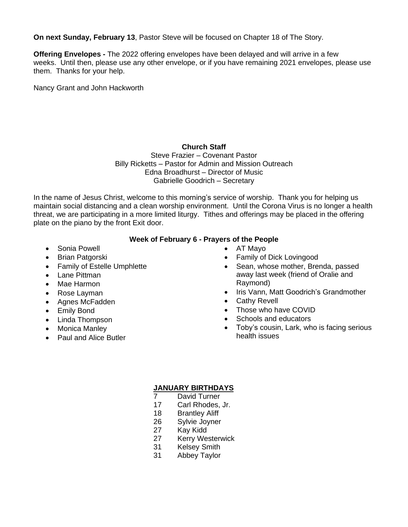**On next Sunday, February 13**, Pastor Steve will be focused on Chapter 18 of The Story.

**Offering Envelopes -** The 2022 offering envelopes have been delayed and will arrive in a few weeks. Until then, please use any other envelope, or if you have remaining 2021 envelopes, please use them. Thanks for your help.

Nancy Grant and John Hackworth

# **Church Staff**

Steve Frazier – Covenant Pastor Billy Ricketts – Pastor for Admin and Mission Outreach Edna Broadhurst – Director of Music Gabrielle Goodrich – Secretary

In the name of Jesus Christ, welcome to this morning's service of worship. Thank you for helping us maintain social distancing and a clean worship environment. Until the Corona Virus is no longer a health threat, we are participating in a more limited liturgy. Tithes and offerings may be placed in the offering plate on the piano by the front Exit door.

# **Week of February 6 - Prayers of the People**

- Sonia Powell
- Brian Patgorski
- Family of Estelle Umphlette
- Lane Pittman
- Mae Harmon
- Rose Layman
- Agnes McFadden
- **Emily Bond**
- Linda Thompson
- Monica Manley
- Paul and Alice Butler
- AT Mayo
- Family of Dick Lovingood
- Sean, whose mother, Brenda, passed away last week (friend of Oralie and Raymond)
- Iris Vann, Matt Goodrich's Grandmother
- Cathy Revell
- Those who have COVID
- Schools and educators
- Toby's cousin, Lark, who is facing serious health issues

# **JANUARY BIRTHDAYS**

- 7 David Turner
- 17 Carl Rhodes, Jr.
- 18 Brantley Aliff
- 26 Sylvie Joyner
- 27 Kay Kidd
- 27 Kerry Westerwick
- 31 Kelsey Smith
- 31 Abbey Taylor